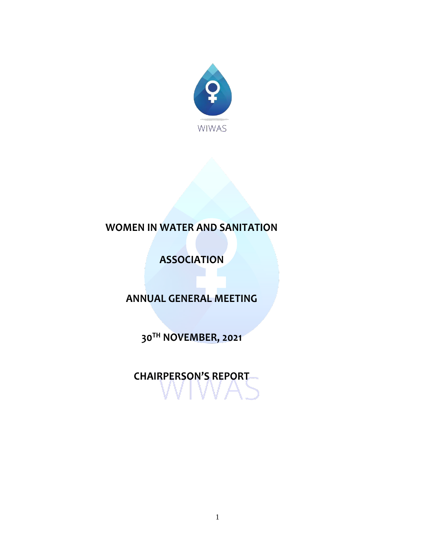

# **WOMEN IN WATER AND SANITATION**

**ASSOCIATION**

**ANNUAL GENERAL MEETING**

**30TH NOVEMBER, 2021**

**CHAIRPERSON'S REPORT**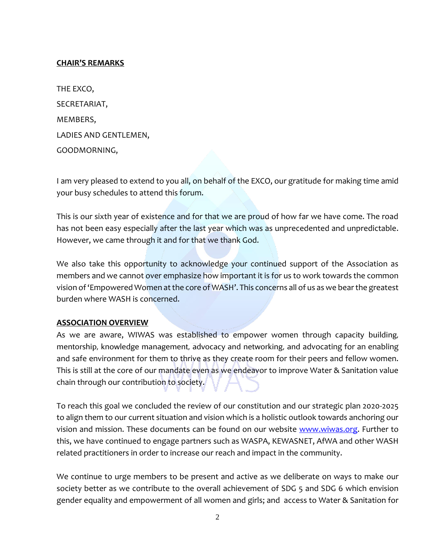### **CHAIR'S REMARKS**

| THE EXCO,             |
|-----------------------|
| SECRETARIAT,          |
| MEMBERS,              |
| LADIES AND GENTLEMEN, |
| GOODMORNING,          |

I am very pleased to extend to you all, on behalf of the EXCO, our gratitude for making time amid your busy schedules to attend this forum.

This is our sixth year of existence and for that we are proud of how far we have come. The road has not been easy especially after the last year which was as unprecedented and unpredictable. However, we came through it and for that we thank God.

We also take this opportunity to acknowledge your continued support of the Association as members and we cannot over emphasize how important it is for us to work towards the common vision of 'Empowered Women at the core of WASH'. This concerns all of us as we bearthe greatest burden where WASH is concerned.

#### **ASSOCIATION OVERVIEW**

As we are aware, WIWAS was established to empower women through capacity building, mentorship, knowledge management, advocacy and networking, and advocating for an enabling and safe environment for them to thrive as they create room for their peers and fellow women. This is still at the core of our mandate even as we endeavor to improve Water & Sanitation value chain through our contribution to society.

To reach this goal we concluded the review of our constitution and our strategic plan 2020-2025 to align them to our current situation and vision which is a holistic outlook towards anchoring our vision and mission. These documents can be found on our website [www.wiwas.org.](http://www.wiwas.org/) Further to this, we have continued to engage partners such as WASPA, KEWASNET, AfWA and other WASH related practitioners in order to increase our reach and impact in the community.

We continue to urge members to be present and active as we deliberate on ways to make our society better as we contribute to the overall achievement of SDG 5 and SDG 6 which envision gender equality and empowerment of all women and girls; and access to Water & Sanitation for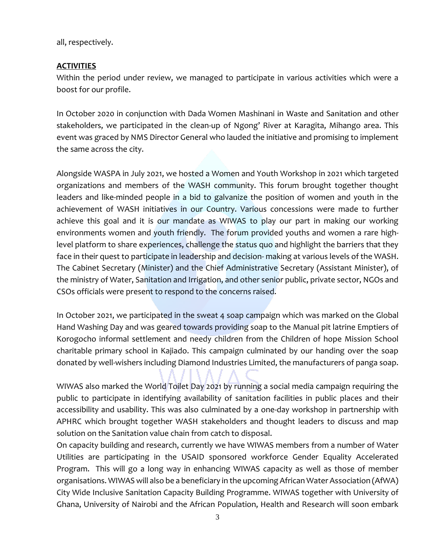all, respectively.

## **ACTIVITIES**

Within the period under review, we managed to participate in various activities which were a boost for our profile.

In October 2020 in conjunction with Dada Women Mashinani in Waste and Sanitation and other stakeholders, we participated in the clean-up of Ngong' River at Karagita, Mihango area. This event was graced by NMS Director General who lauded the initiative and promising to implement the same across the city.

Alongside WASPA in July 2021, we hosted a Women and Youth Workshop in 2021 which targeted organizations and members of the WASH community. This forum brought together thought leaders and like-minded people in a bid to galvanize the position of women and youth in the achievement of WASH initiatives in our Country. Various concessions were made to further achieve this goal and it is our mandate as WIWAS to play our part in making our working environments women and youth friendly. The forum provided youths and women a rare highlevel platform to share experiences, challenge the status quo and highlight the barriers that they face in their quest to participate in leadership and decision- making at various levels of the WASH. The Cabinet Secretary (Minister) and the Chief Administrative Secretary (Assistant Minister), of the ministry of Water, Sanitation and Irrigation, and other senior public, private sector, NGOs and CSOs officials were present to respond to the concerns raised.

In October 2021, we participated in the sweat 4 soap campaign which was marked on the Global Hand Washing Day and was geared towards providing soap to the Manual pit latrine Emptiers of Korogocho informal settlement and needy children from the Children of hope Mission School charitable primary school in Kajiado. This campaign culminated by our handing over the soap donated by well-wishers including Diamond Industries Limited, the manufacturers of panga soap.

WIWAS also marked the World Toilet Day 2021 by running a social media campaign requiring the public to participate in identifying availability of sanitation facilities in public places and their accessibility and usability. This was also culminated by a one-day workshop in partnership with APHRC which brought together WASH stakeholders and thought leaders to discuss and map solution on the Sanitation value chain from catch to disposal.

On capacity building and research, currently we have WIWAS members from a number of Water Utilities are participating in the USAID sponsored workforce Gender Equality Accelerated Program. This will go a long way in enhancing WIWAS capacity as well as those of member organisations. WIWAS will also be a beneficiary in the upcoming African Water Association (AfWA) City Wide Inclusive Sanitation Capacity Building Programme. WIWAS together with University of Ghana, University of Nairobi and the African Population, Health and Research will soon embark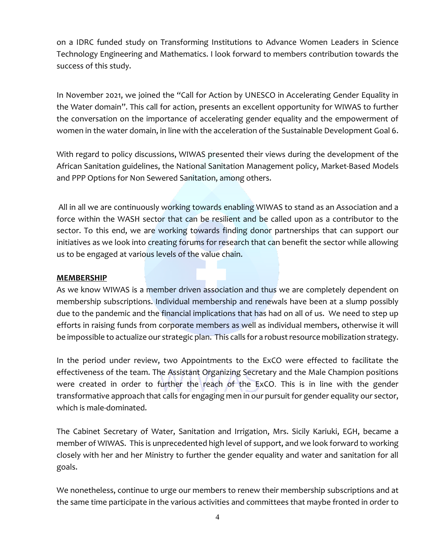on a IDRC funded study on Transforming Institutions to Advance Women Leaders in Science Technology Engineering and Mathematics. I look forward to members contribution towards the success of this study.

In November 2021, we joined the "Call for Action by UNESCO in Accelerating Gender Equality in the Water domain". This call for action, presents an excellent opportunity for WIWAS to further the conversation on the importance of accelerating gender equality and the empowerment of women in the water domain, in line with the acceleration of the Sustainable Development Goal 6.

With regard to policy discussions, WIWAS presented their views during the development of the African Sanitation guidelines, the National Sanitation Management policy, Market-Based Models and PPP Options for Non Sewered Sanitation, among others.

All in all we are continuously working towards enabling WIWAS to stand as an Association and a force within the WASH sector that can be resilient and be called upon as a contributor to the sector. To this end, we are working towards finding donor partnerships that can support our initiatives as we look into creating forums for research that can benefit the sector while allowing us to be engaged at various levels of the value chain.

#### **MEMBERSHIP**

As we know WIWAS is a member driven association and thus we are completely dependent on membership subscriptions. Individual membership and renewals have been at a slump possibly due to the pandemic and the financial implications that has had on all of us. We need to step up efforts in raising funds from corporate members as well as individual members, otherwise it will be impossible to actualize our strategic plan. This calls for a robust resource mobilization strategy.

In the period under review, two Appointments to the ExCO were effected to facilitate the effectiveness of the team. The Assistant Organizing Secretary and the Male Champion positions were created in order to further the reach of the ExCO. This is in line with the gender transformative approach that calls for engaging men in our pursuit for gender equality our sector, which is male-dominated.

The Cabinet Secretary of Water, Sanitation and Irrigation, Mrs. Sicily Kariuki, EGH, became a member of WIWAS. This is unprecedented high level of support, and we look forward to working closely with her and her Ministry to further the gender equality and water and sanitation for all goals.

We nonetheless, continue to urge our members to renew their membership subscriptions and at the same time participate in the various activities and committees that maybe fronted in order to